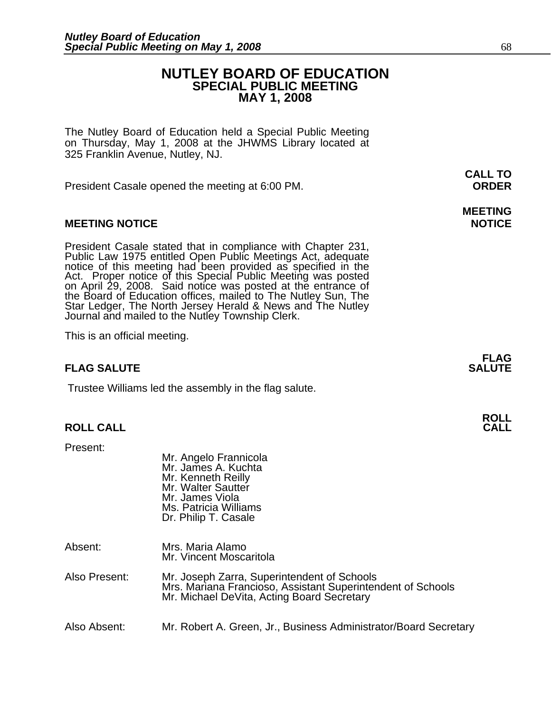# **NUTLEY BOARD OF EDUCATION SPECIAL PUBLIC MEETING MAY 1, 2008**

**MEETING** 

The Nutley Board of Education held a Special Public Meeting on Thursday, May 1, 2008 at the JHWMS Library located at 325 Franklin Avenue, Nutley, NJ.

 **CALL TO**  President Casale opened the meeting at 6:00 PM. **ORDER**

# **MEETING NOTICE NOTICE**

President Casale stated that in compliance with Chapter 231,<br>Public Law 1975 entitled Open Public Meetings Act, adequate<br>notice of this meeting had been provided as specified in the<br>Act. Proper notice of this Special Publi

This is an official meeting.

#### **FLAG FLAG SALUTE** SALUTE SALUTE SALUTE SALUTE SALUTE

Trustee Williams led the assembly in the flag salute.

# **ROLL ROLL CALL CALL**

Present:

| Mr. Angelo Frannicola |
|-----------------------|
| Mr. James A. Kuchta   |
| Mr. Kenneth Reilly    |
| Mr. Walter Sautter    |
| Mr. James Viola       |
| Ms. Patricia Williams |
| Dr. Philip T. Casale  |
|                       |

- Absent: Mrs. Maria Alamo Mr. Vincent Moscaritola
- Also Present: Mr. Joseph Zarra, Superintendent of Schools Mrs. Mariana Francioso, Assistant Superintendent of Schools Mr. Michael DeVita, Acting Board Secretary
- Also Absent: Mr. Robert A. Green, Jr., Business Administrator/Board Secretary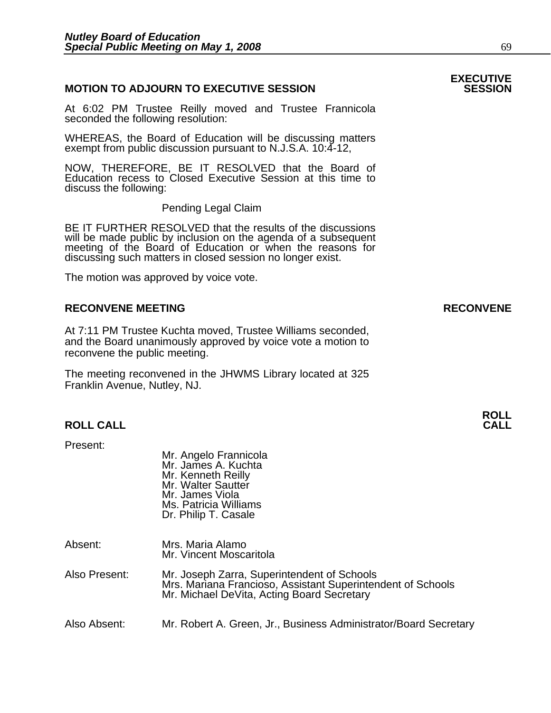# **MOTION TO ADJOURN TO EXECUTIVE SESSION**

At 6:02 PM Trustee Reilly moved and Trustee Frannicola seconded the following resolution:

WHEREAS, the Board of Education will be discussing matters exempt from public discussion pursuant to N.J.S.A. 10:4-12,

NOW, THEREFORE, BE IT RESOLVED that the Board of Education recess to Closed Executive Session at this time to discuss the following:

Pending Legal Claim

BE IT FURTHER RESOLVED that the results of the discussions will be made public by inclusion on the agenda of a subsequent meeting of the Board of Education or when the reasons for discussing such matters in closed session no longer exist.

 The motion was approved by voice vote.

## **RECONVENE MEETING RECONVENE**

At 7:11 PM Trustee Kuchta moved, Trustee Williams seconded, and the Board unanimously approved by voice vote a motion to reconvene the public meeting.

The meeting reconvened in the JHWMS Library located at 325 Franklin Avenue, Nutley, NJ.

Present:

| Mr. Angelo Frannicola<br>Mr. James A. Kuchta |
|----------------------------------------------|
| Mr. Kenneth Reilly                           |
| Mr. Walter Sautter                           |
| Mr. James Viola                              |
| Ms. Patricia Williams                        |
| Dr. Philip T. Casale                         |
|                                              |

| Absent: | Mrs. Maria Alamo        |
|---------|-------------------------|
|         | Mr. Vincent Moscaritola |

- Also Present: Mr. Joseph Zarra, Superintendent of Schools Mrs. Mariana Francioso, Assistant Superintendent of Schools Mr. Michael DeVita, Acting Board Secretary
- Also Absent: Mr. Robert A. Green, Jr., Business Administrator/Board Secretary

# **EXECUTIVE**

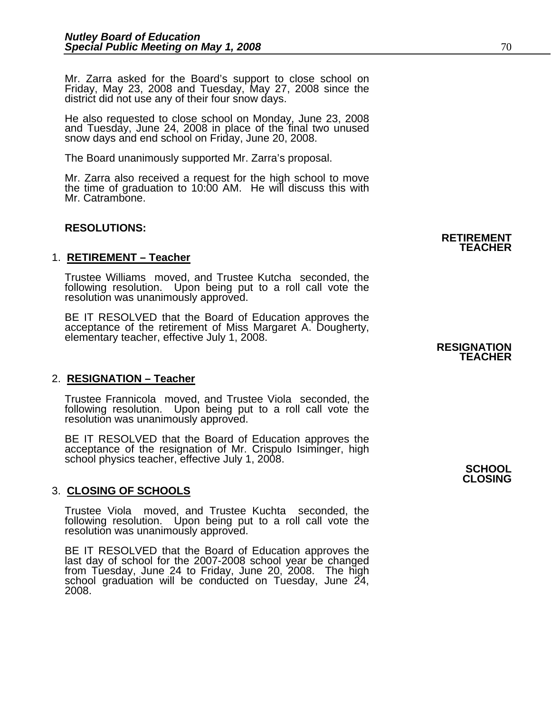Mr. Zarra asked for the Board's support to close school on Friday, May 23, 2008 and Tuesday, May 27, 2008 since the district did not use any of their four snow days.

He also requested to close school on Monday, June 23, 2008 and Tuesday, June 24, 2008 in place of the final two unused snow days and end school on Friday, June 20, 2008.

The Board unanimously supported Mr. Zarra's proposal.

Mr. Zarra also received a request for the high school to move the time of graduation to 10:00 AM. He will discuss this with Mr. Catrambone.

## **RESOLUTIONS:**

## 1. **RETIREMENT – Teacher**

Trustee Williams moved, and Trustee Kutcha seconded, the following resolution. Upon being put to a roll call vote the resolution was unanimously approved.

BE IT RESOLVED that the Board of Education approves the<br>acceptance of the retirement of Miss Margaret A. Dougherty,<br>elementary teacher, effective July 1, 2008. **RESIGNATION** 

### 2. **RESIGNATION – Teacher**

Trustee Frannicola moved, and Trustee Viola seconded, the following resolution. Upon being put to a roll call vote the resolution was unanimously approved.

BE IT RESOLVED that the Board of Education approves the<br>acceptance of the resignation of Mr. Crispulo Isiminger, high<br>school physics teacher, effective July 1, 2008.

### 3. **CLOSING OF SCHOOLS**

Trustee Viola moved, and Trustee Kuchta seconded, the following resolution. Upon being put to a roll call vote the resolution was unanimously approved.

BE IT RESOLVED that the Board of Education approves the<br>last day of school for the 2007-2008 school year be changed from Tuesday, June 24 to Friday, June 20, 2008. The high school graduation will be conducted on Tuesday, June 24, 2008.

# **TEACHER**

**CLOSING**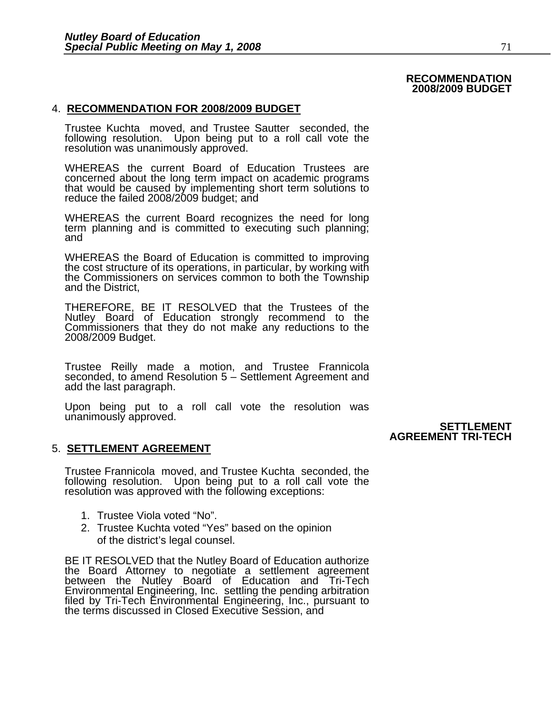#### **RECOMMENDATION 2008/2009 BUDGET**

#### 4. **RECOMMENDATION FOR 2008/2009 BUDGET**

Trustee Kuchta moved, and Trustee Sautter seconded, the following resolution. Upon being put to a roll call vote the resolution was unanimously approved.

WHEREAS the current Board of Education Trustees are concerned about the long term impact on academic programs that would be caused by implementing short term solutions to reduce the failed 2008/2009 budget; and

WHEREAS the current Board recognizes the need for long term planning and is committed to executing such planning; and

WHEREAS the Board of Education is committed to improving the cost structure of its operations, in particular, by working with the Commissioners on services common to both the Township and the District,

THEREFORE, BE IT RESOLVED that the Trustees of the Nutley Board of Education strongly recommend to the Commissioners that they do not make any reductions to the Commissioners that they do not make any reductions to the 2008/2009 Budget.

Trustee Reilly made a motion, and Trustee Frannicola seconded, to amend Resolution 5 – Settlement Agreement and add the last paragraph.

Upon being put to a roll call vote the resolution was unanimously approved. **SETTLEMENT** 

 **AGREEMENT TRI-TECH** 

### 5. **SETTLEMENT AGREEMENT**

Trustee Frannicola moved, and Trustee Kuchta seconded, the following resolution. Upon being put to a roll call vote the resolution was approved with the following exceptions:

- 1. Trustee Viola voted "No".
- 2. Trustee Kuchta voted "Yes" based on the opinion of the district's legal counsel.

BE IT RESOLVED that the Nutley Board of Education authorize the Board Attorney to negotiate a settlement agreement the Board Attorney to negotiate a settlement agreement between the Nutley Board of Education and Tri-Tech Environmental Enginéering, Inc. settling the pending arbitration<br>filed by Tri-Tech Environmental Engineering, Inc., pursuant to<br>the terms discussed in Closed Executive Session, and